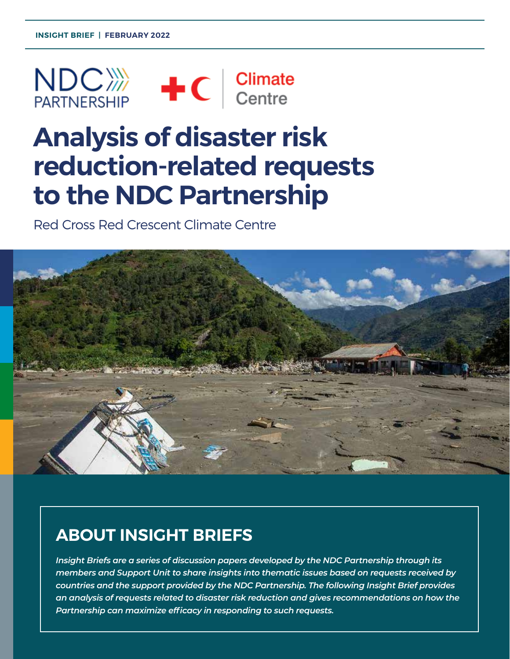

# **Analysis of disaster risk reduction-related requests to the NDC Partnership**

Red Cross Red Crescent Climate Centre



# **ABOUT INSIGHT BRIEFS**

*Insight Briefs are a series of discussion papers developed by the NDC Partnership through its members and Support Unit to share insights into thematic issues based on requests received by countries and the support provided by the NDC Partnership. The following Insight Brief provides an analysis of requests related to disaster risk reduction and gives recommendations on how the Partnership can maximize efficacy in responding to such requests.*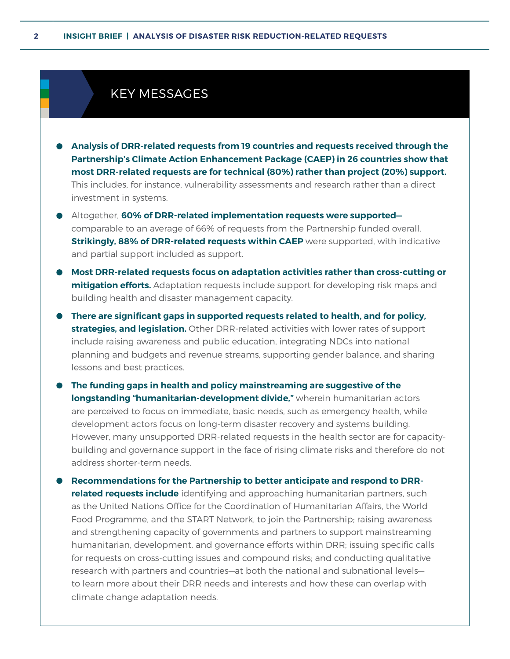**Countries are increasingly including disaster risks in their Nationally Determined** 

#### **Contributions (NDCs), highlighting the importance of the importance of the Partnership in providing**  $\mathbb{R}$ **guidance and support for Disaster Risk Reduction (DRR) efforts.**

- **Analysis of DRR-related requests from 19 countries and requests received through the Partnership's Climate Action Enhancement Package (CAEP) in 26 countries show that most DRR-related requests are for technical (80%) rather than project (20%) support.** This includes, for instance, vulnerability assessments and research rather than a direct investment in systems.
- Altogether, **60% of DRR-related implementation requests were supported** comparable to an average of 66% of requests from the Partnership funded overall. **Strikingly, 88% of DRR-related requests within CAEP** were supported, with indicative and partial support included as support.
- **Most DRR-related requests focus on adaptation activities rather than cross-cutting or mitigation efforts.** Adaptation requests include support for developing risk maps and building health and disaster management capacity.
- **There are significant gaps in supported requests related to health, and for policy, strategies, and legislation.** Other DRR-related activities with lower rates of support include raising awareness and public education, integrating NDCs into national planning and budgets and revenue streams, supporting gender balance, and sharing lessons and best practices.
- **The funding gaps in health and policy mainstreaming are suggestive of the longstanding "humanitarian-development divide,"** wherein humanitarian actors are perceived to focus on immediate, basic needs, such as emergency health, while development actors focus on long-term disaster recovery and systems building. However, many unsupported DRR-related requests in the health sector are for capacitybuilding and governance support in the face of rising climate risks and therefore do not address shorter-term needs.
- **Recommendations for the Partnership to better anticipate and respond to DRRrelated requests include** identifying and approaching humanitarian partners, such as the United Nations Office for the Coordination of Humanitarian Affairs, the World Food Programme, and the START Network, to join the Partnership; raising awareness and strengthening capacity of governments and partners to support mainstreaming humanitarian, development, and governance efforts within DRR; issuing specific calls for requests on cross-cutting issues and compound risks; and conducting qualitative research with partners and countries—at both the national and subnational levels to learn more about their DRR needs and interests and how these can overlap with climate change adaptation needs.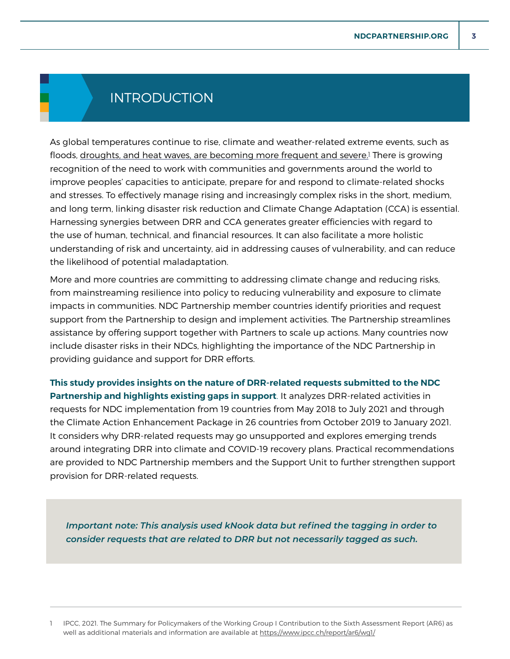# INTRODUCTION

As global temperatures continue to rise, climate and weather-related extreme events, such as floods, <u>droughts, and heat waves, are becoming more frequent and severe.</u><sup>1</sup> There is growing recognition of the need to work with communities and governments around the world to improve peoples' capacities to anticipate, prepare for and respond to climate-related shocks and stresses. To effectively manage rising and increasingly complex risks in the short, medium, and long term, linking disaster risk reduction and Climate Change Adaptation (CCA) is essential. Harnessing synergies between DRR and CCA generates greater efficiencies with regard to the use of human, technical, and financial resources. It can also facilitate a more holistic understanding of risk and uncertainty, aid in addressing causes of vulnerability, and can reduce the likelihood of potential maladaptation.

More and more countries are committing to addressing climate change and reducing risks, from mainstreaming resilience into policy to reducing vulnerability and exposure to climate impacts in communities. NDC Partnership member countries identify priorities and request support from the Partnership to design and implement activities. The Partnership streamlines assistance by offering support together with Partners to scale up actions. Many countries now include disaster risks in their NDCs, highlighting the importance of the NDC Partnership in providing guidance and support for DRR efforts.

**This study provides insights on the nature of DRR-related requests submitted to the NDC Partnership and highlights existing gaps in support**. It analyzes DRR-related activities in requests for NDC implementation from 19 countries from May 2018 to July 2021 and through the Climate Action Enhancement Package in 26 countries from October 2019 to January 2021. It considers why DRR-related requests may go unsupported and explores emerging trends around integrating DRR into climate and COVID-19 recovery plans. Practical recommendations are provided to NDC Partnership members and the Support Unit to further strengthen support provision for DRR-related requests.

*Important note: This analysis used kNook data but refined the tagging in order to consider requests that are related to DRR but not necessarily tagged as such.* 

1 IPCC, 2021. The Summary for Policymakers of the Working Group I Contribution to the Sixth Assessment Report (AR6) as well as additional materials and information are available at <https://www.ipcc.ch/report/ar6/wg1/>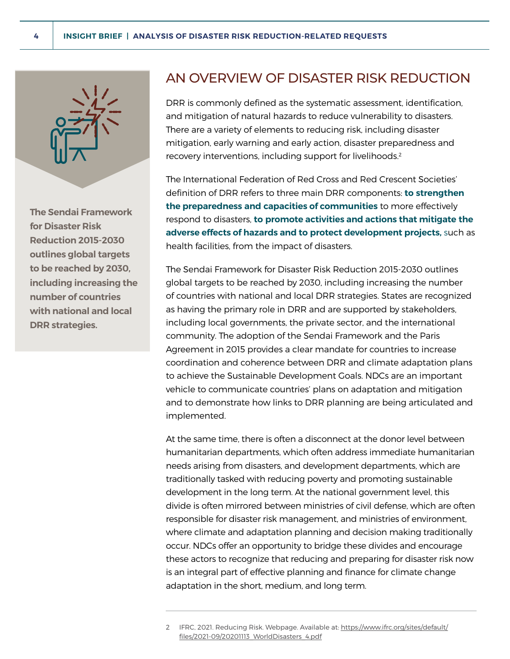

**The Sendai Framework for Disaster Risk Reduction 2015-2030 outlines global targets to be reached by 2030, including increasing the number of countries with national and local DRR strategies.** 

## AN OVERVIEW OF DISASTER RISK REDUCTION

DRR is commonly defined as the systematic assessment, identification, and mitigation of natural hazards to reduce vulnerability to disasters. There are a variety of elements to reducing risk, including disaster mitigation, early warning and early action, disaster preparedness and recovery interventions, including support for livelihoods.<sup>2</sup>

The International Federation of Red Cross and Red Crescent Societies' definition of DRR refers to three main DRR components: **to strengthen the preparedness and capacities of communities** to more effectively respond to disasters, **to promote activities and actions that mitigate the adverse effects of hazards and to protect development projects,** such as health facilities, from the impact of disasters.

The Sendai Framework for Disaster Risk Reduction 2015-2030 outlines global targets to be reached by 2030, including increasing the number of countries with national and local DRR strategies. States are recognized as having the primary role in DRR and are supported by stakeholders, including local governments, the private sector, and the international community. The adoption of the Sendai Framework and the Paris Agreement in 2015 provides a clear mandate for countries to increase coordination and coherence between DRR and climate adaptation plans to achieve the Sustainable Development Goals. NDCs are an important vehicle to communicate countries' plans on adaptation and mitigation and to demonstrate how links to DRR planning are being articulated and implemented.

At the same time, there is often a disconnect at the donor level between humanitarian departments, which often address immediate humanitarian needs arising from disasters, and development departments, which are traditionally tasked with reducing poverty and promoting sustainable development in the long term. At the national government level, this divide is often mirrored between ministries of civil defense, which are often responsible for disaster risk management, and ministries of environment, where climate and adaptation planning and decision making traditionally occur. NDCs offer an opportunity to bridge these divides and encourage these actors to recognize that reducing and preparing for disaster risk now is an integral part of effective planning and finance for climate change adaptation in the short, medium, and long term.

<sup>2</sup> IFRC, 2021. Reducing Risk. Webpage. Available at: [https://www.ifrc.org/sites/default/](https://www.ifrc.org/sites/default/files/2021-09/20201113_WorldDisasters_4.pdf) [files/2021-09/20201113\\_WorldDisasters\\_4.pdf](https://www.ifrc.org/sites/default/files/2021-09/20201113_WorldDisasters_4.pdf)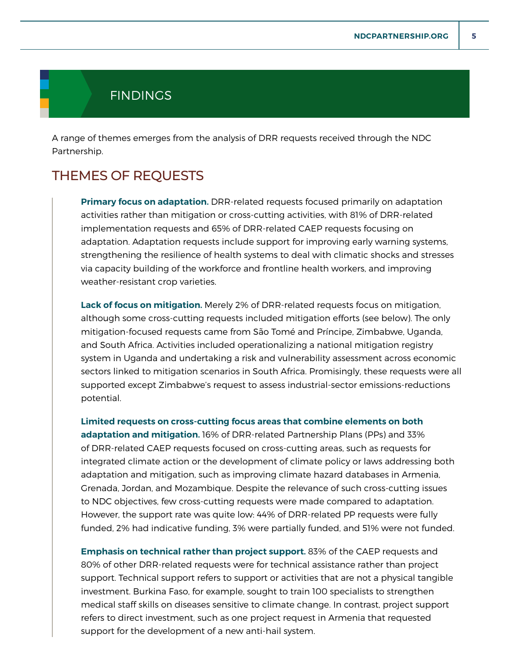## **FINDINGS**

A range of themes emerges from the analysis of DRR requests received through the NDC Partnership.

## THEMES OF REQUESTS

**Primary focus on adaptation.** DRR-related requests focused primarily on adaptation activities rather than mitigation or cross-cutting activities, with 81% of DRR-related implementation requests and 65% of DRR-related CAEP requests focusing on adaptation. Adaptation requests include support for improving early warning systems, strengthening the resilience of health systems to deal with climatic shocks and stresses via capacity building of the workforce and frontline health workers, and improving weather-resistant crop varieties.

**Lack of focus on mitigation.** Merely 2% of DRR-related requests focus on mitigation, although some cross-cutting requests included mitigation efforts (see below). The only mitigation-focused requests came from São Tomé and Príncipe, Zimbabwe, Uganda, and South Africa. Activities included operationalizing a national mitigation registry system in Uganda and undertaking a risk and vulnerability assessment across economic sectors linked to mitigation scenarios in South Africa. Promisingly, these requests were all supported except Zimbabwe's request to assess industrial-sector emissions-reductions potential.

**Limited requests on cross-cutting focus areas that combine elements on both adaptation and mitigation.** 16% of DRR-related Partnership Plans (PPs) and 33% of DRR-related CAEP requests focused on cross-cutting areas, such as requests for integrated climate action or the development of climate policy or laws addressing both adaptation and mitigation, such as improving climate hazard databases in Armenia, Grenada, Jordan, and Mozambique. Despite the relevance of such cross-cutting issues to NDC objectives, few cross-cutting requests were made compared to adaptation. However, the support rate was quite low: 44% of DRR-related PP requests were fully funded, 2% had indicative funding, 3% were partially funded, and 51% were not funded.

**Emphasis on technical rather than project support.** 83% of the CAEP requests and 80% of other DRR-related requests were for technical assistance rather than project support. Technical support refers to support or activities that are not a physical tangible investment. Burkina Faso, for example, sought to train 100 specialists to strengthen medical staff skills on diseases sensitive to climate change. In contrast, project support refers to direct investment, such as one project request in Armenia that requested support for the development of a new anti-hail system.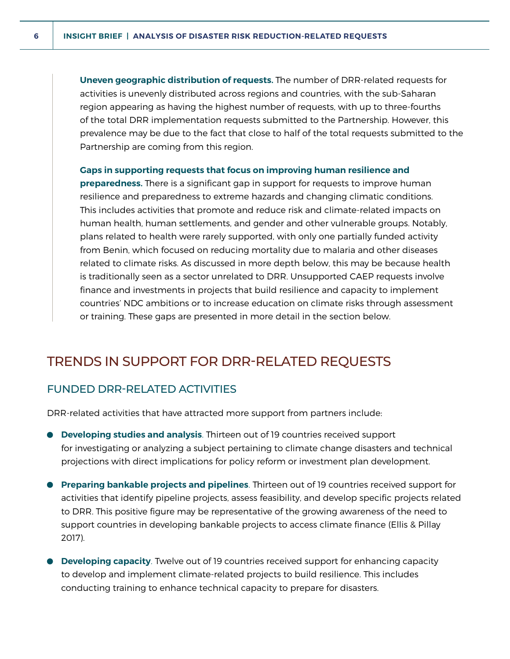**Uneven geographic distribution of requests.** The number of DRR-related requests for activities is unevenly distributed across regions and countries, with the sub-Saharan region appearing as having the highest number of requests, with up to three-fourths of the total DRR implementation requests submitted to the Partnership. However, this prevalence may be due to the fact that close to half of the total requests submitted to the Partnership are coming from this region.

#### **Gaps in supporting requests that focus on improving human resilience and**

**preparedness.** There is a significant gap in support for requests to improve human resilience and preparedness to extreme hazards and changing climatic conditions. This includes activities that promote and reduce risk and climate-related impacts on human health, human settlements, and gender and other vulnerable groups. Notably, plans related to health were rarely supported, with only one partially funded activity from Benin, which focused on reducing mortality due to malaria and other diseases related to climate risks. As discussed in more depth below, this may be because health is traditionally seen as a sector unrelated to DRR. Unsupported CAEP requests involve finance and investments in projects that build resilience and capacity to implement countries' NDC ambitions or to increase education on climate risks through assessment or training. These gaps are presented in more detail in the section below.

## TRENDS IN SUPPORT FOR DRR-RELATED REQUESTS

### FUNDED DRR-RELATED ACTIVITIES

DRR-related activities that have attracted more support from partners include:

- **Developing studies and analysis**. Thirteen out of 19 countries received support for investigating or analyzing a subject pertaining to climate change disasters and technical projections with direct implications for policy reform or investment plan development.
- **Preparing bankable projects and pipelines**. Thirteen out of 19 countries received support for activities that identify pipeline projects, assess feasibility, and develop specific projects related to DRR. This positive figure may be representative of the growing awareness of the need to support countries in developing bankable projects to access climate finance (Ellis & Pillay 2017).
- **Developing capacity**. Twelve out of 19 countries received support for enhancing capacity to develop and implement climate-related projects to build resilience. This includes conducting training to enhance technical capacity to prepare for disasters.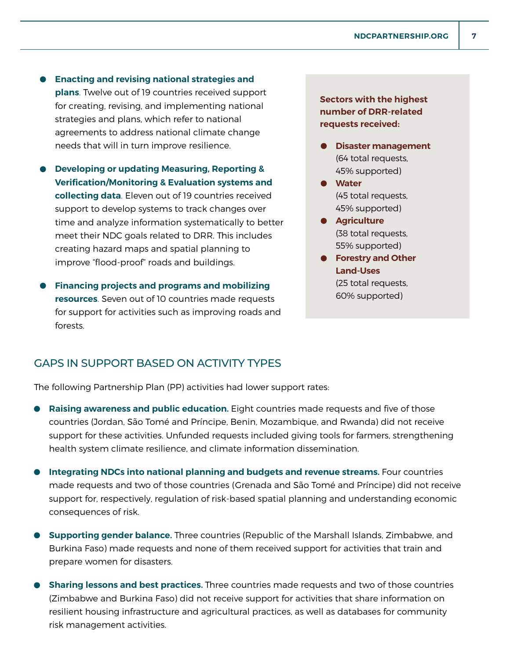- **Enacting and revising national strategies and plans**. Twelve out of 19 countries received support for creating, revising, and implementing national strategies and plans, which refer to national agreements to address national climate change needs that will in turn improve resilience.
- **Developing or updating Measuring, Reporting & Verification/Monitoring & Evaluation systems and collecting data**. Eleven out of 19 countries received support to develop systems to track changes over time and analyze information systematically to better meet their NDC goals related to DRR. This includes creating hazard maps and spatial planning to improve "flood-proof" roads and buildings.
- **Financing projects and programs and mobilizing resources**. Seven out of 10 countries made requests for support for activities such as improving roads and forests.

**Sectors with the highest number of DRR-related requests received:**

- **Disaster management** (64 total requests, 45% supported)
- **Water** (45 total requests, 45% supported)
- **Agriculture** (38 total requests, 55% supported)
- **Forestry and Other Land-Uses** (25 total requests, 60% supported)

#### GAPS IN SUPPORT BASED ON ACTIVITY TYPES

The following Partnership Plan (PP) activities had lower support rates:

- **Raising awareness and public education.** Eight countries made requests and five of those countries (Jordan, São Tomé and Príncipe, Benin, Mozambique, and Rwanda) did not receive support for these activities. Unfunded requests included giving tools for farmers, strengthening health system climate resilience, and climate information dissemination.
- **Integrating NDCs into national planning and budgets and revenue streams.** Four countries made requests and two of those countries (Grenada and São Tomé and Príncipe) did not receive support for, respectively, regulation of risk-based spatial planning and understanding economic consequences of risk.
- **Supporting gender balance.** Three countries (Republic of the Marshall Islands, Zimbabwe, and Burkina Faso) made requests and none of them received support for activities that train and prepare women for disasters.
- **Sharing lessons and best practices.** Three countries made requests and two of those countries (Zimbabwe and Burkina Faso) did not receive support for activities that share information on resilient housing infrastructure and agricultural practices, as well as databases for community risk management activities.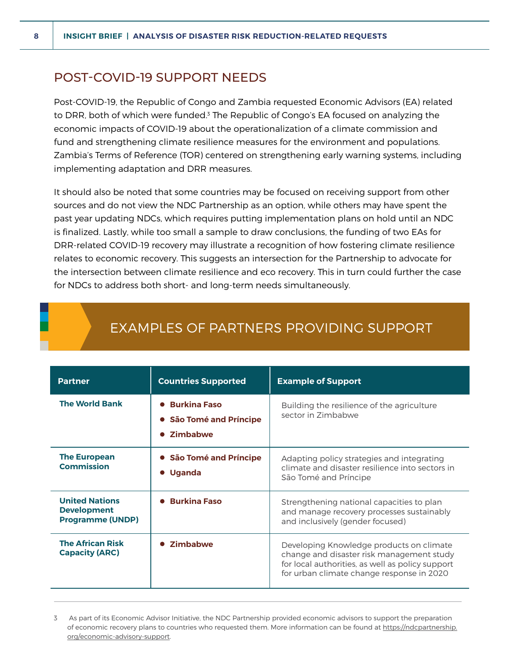## POST-COVID-19 SUPPORT NEEDS

Post-COVID-19, the Republic of Congo and Zambia requested Economic Advisors (EA) related to DRR, both of which were funded.<sup>3</sup> The Republic of Congo's EA focused on analyzing the economic impacts of COVID-19 about the operationalization of a climate commission and fund and strengthening climate resilience measures for the environment and populations. Zambia's Terms of Reference (TOR) centered on strengthening early warning systems, including implementing adaptation and DRR measures.

It should also be noted that some countries may be focused on receiving support from other sources and do not view the NDC Partnership as an option, while others may have spent the past year updating NDCs, which requires putting implementation plans on hold until an NDC is finalized. Lastly, while too small a sample to draw conclusions, the funding of two EAs for DRR-related COVID-19 recovery may illustrate a recognition of how fostering climate resilience relates to economic recovery. This suggests an intersection for the Partnership to advocate for the intersection between climate resilience and eco recovery. This in turn could further the case for NDCs to address both short- and long-term needs simultaneously.

| <b>Partner</b>                                                         | <b>Countries Supported</b>                                     | <b>Example of Support</b>                                                                                                                                                              |
|------------------------------------------------------------------------|----------------------------------------------------------------|----------------------------------------------------------------------------------------------------------------------------------------------------------------------------------------|
| <b>The World Bank</b>                                                  | <b>• Burkina Faso</b><br>• São Tomé and Príncipe<br>• Zimbabwe | Building the resilience of the agriculture<br>sector in Zimbabwe                                                                                                                       |
| <b>The European</b><br><b>Commission</b>                               | • São Tomé and Príncipe<br><b>Uganda</b>                       | Adapting policy strategies and integrating<br>climate and disaster resilience into sectors in<br>São Tomé and Príncipe                                                                 |
| <b>United Nations</b><br><b>Development</b><br><b>Programme (UNDP)</b> | <b>Burkina Faso</b>                                            | Strengthening national capacities to plan<br>and manage recovery processes sustainably<br>and inclusively (gender focused)                                                             |
| <b>The African Risk</b><br><b>Capacity (ARC)</b>                       | <b>Zimbabwe</b>                                                | Developing Knowledge products on climate<br>change and disaster risk management study<br>for local authorities, as well as policy support<br>for urban climate change response in 2020 |

# EXAMPLES OF PARTNERS PROVIDING SUPPORT

3 As part of its Economic Advisor Initiative, the NDC Partnership provided economic advisors to support the preparation of economic recovery plans to countries who requested them. More information can be found at [https://ndcpartnership.](https://ndcpartnership.org/economic-advisory-support) [org/economic-advisory-support.](https://ndcpartnership.org/economic-advisory-support)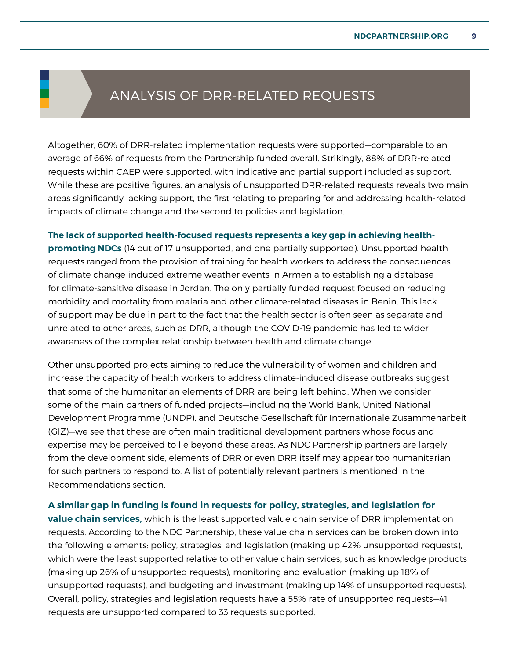# ANALYSIS OF DRR-RELATED REQUESTS

Altogether, 60% of DRR-related implementation requests were supported—comparable to an average of 66% of requests from the Partnership funded overall. Strikingly, 88% of DRR-related requests within CAEP were supported, with indicative and partial support included as support. While these are positive figures, an analysis of unsupported DRR-related requests reveals two main areas significantly lacking support, the first relating to preparing for and addressing health-related impacts of climate change and the second to policies and legislation.

**The lack of supported health-focused requests represents a key gap in achieving healthpromoting NDCs** (14 out of 17 unsupported, and one partially supported). Unsupported health requests ranged from the provision of training for health workers to address the consequences of climate change-induced extreme weather events in Armenia to establishing a database for climate-sensitive disease in Jordan. The only partially funded request focused on reducing morbidity and mortality from malaria and other climate-related diseases in Benin. This lack of support may be due in part to the fact that the health sector is often seen as separate and unrelated to other areas, such as DRR, although the COVID-19 pandemic has led to wider awareness of the complex relationship between health and climate change.

Other unsupported projects aiming to reduce the vulnerability of women and children and increase the capacity of health workers to address climate-induced disease outbreaks suggest that some of the humanitarian elements of DRR are being left behind. When we consider some of the main partners of funded projects—including the World Bank, United National Development Programme (UNDP), and Deutsche Gesellschaft für Internationale Zusammenarbeit (GIZ)—we see that these are often main traditional development partners whose focus and expertise may be perceived to lie beyond these areas. As NDC Partnership partners are largely from the development side, elements of DRR or even DRR itself may appear too humanitarian for such partners to respond to. A list of potentially relevant partners is mentioned in the Recommendations section.

#### **A similar gap in funding is found in requests for policy, strategies, and legislation for**

**value chain services,** which is the least supported value chain service of DRR implementation requests. According to the NDC Partnership, these value chain services can be broken down into the following elements: policy, strategies, and legislation (making up 42% unsupported requests), which were the least supported relative to other value chain services, such as knowledge products (making up 26% of unsupported requests), monitoring and evaluation (making up 18% of unsupported requests), and budgeting and investment (making up 14% of unsupported requests). Overall, policy, strategies and legislation requests have a 55% rate of unsupported requests—41 requests are unsupported compared to 33 requests supported.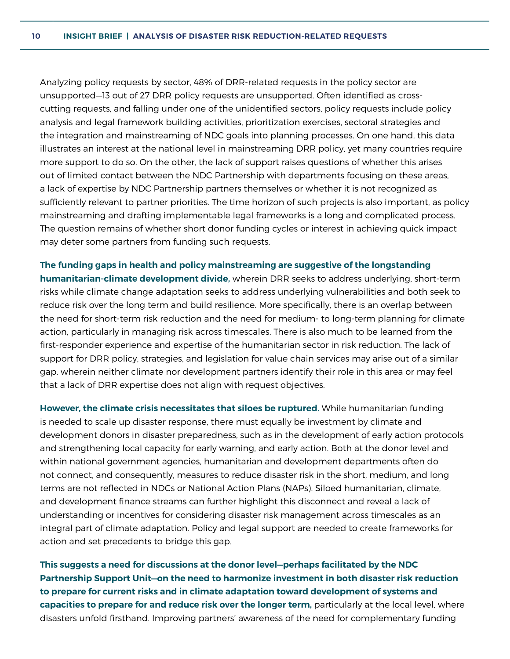Analyzing policy requests by sector, 48% of DRR-related requests in the policy sector are unsupported—13 out of 27 DRR policy requests are unsupported. Often identified as crosscutting requests, and falling under one of the unidentified sectors, policy requests include policy analysis and legal framework building activities, prioritization exercises, sectoral strategies and the integration and mainstreaming of NDC goals into planning processes. On one hand, this data illustrates an interest at the national level in mainstreaming DRR policy, yet many countries require more support to do so. On the other, the lack of support raises questions of whether this arises out of limited contact between the NDC Partnership with departments focusing on these areas, a lack of expertise by NDC Partnership partners themselves or whether it is not recognized as sufficiently relevant to partner priorities. The time horizon of such projects is also important, as policy mainstreaming and drafting implementable legal frameworks is a long and complicated process. The question remains of whether short donor funding cycles or interest in achieving quick impact may deter some partners from funding such requests.

**The funding gaps in health and policy mainstreaming are suggestive of the longstanding humanitarian-climate development divide,** wherein DRR seeks to address underlying, short-term risks while climate change adaptation seeks to address underlying vulnerabilities and both seek to reduce risk over the long term and build resilience. More specifically, there is an overlap between the need for short-term risk reduction and the need for medium- to long-term planning for climate action, particularly in managing risk across timescales. There is also much to be learned from the first-responder experience and expertise of the humanitarian sector in risk reduction. The lack of support for DRR policy, strategies, and legislation for value chain services may arise out of a similar gap, wherein neither climate nor development partners identify their role in this area or may feel that a lack of DRR expertise does not align with request objectives.

**However, the climate crisis necessitates that siloes be ruptured.** While humanitarian funding is needed to scale up disaster response, there must equally be investment by climate and development donors in disaster preparedness, such as in the development of early action protocols and strengthening local capacity for early warning, and early action. Both at the donor level and within national government agencies, humanitarian and development departments often do not connect, and consequently, measures to reduce disaster risk in the short, medium, and long terms are not reflected in NDCs or National Action Plans (NAPs). Siloed humanitarian, climate, and development finance streams can further highlight this disconnect and reveal a lack of understanding or incentives for considering disaster risk management across timescales as an integral part of climate adaptation. Policy and legal support are needed to create frameworks for action and set precedents to bridge this gap.

**This suggests a need for discussions at the donor level—perhaps facilitated by the NDC Partnership Support Unit—on the need to harmonize investment in both disaster risk reduction to prepare for current risks and in climate adaptation toward development of systems and capacities to prepare for and reduce risk over the longer term,** particularly at the local level, where disasters unfold firsthand. Improving partners' awareness of the need for complementary funding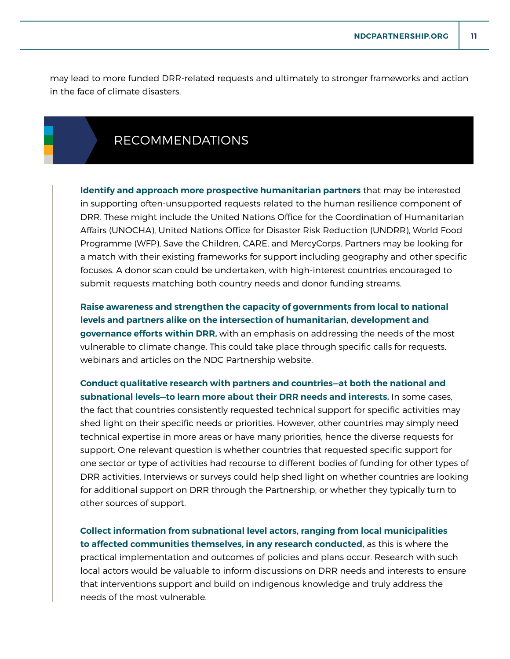may lead to more funded DRR-related requests and ultimately to stronger frameworks and action in the face of climate disasters.

## RECOMMENDATIONS

**Identify and approach more prospective humanitarian partners** that may be interested in supporting often-unsupported requests related to the human resilience component of DRR. These might include the United Nations Office for the Coordination of Humanitarian Affairs (UNOCHA), United Nations Office for Disaster Risk Reduction (UNDRR), World Food Programme (WFP), Save the Children, CARE, and MercyCorps. Partners may be looking for a match with their existing frameworks for support including geography and other specific focuses. A donor scan could be undertaken, with high-interest countries encouraged to submit requests matching both country needs and donor funding streams.

**Raise awareness and strengthen the capacity of governments from local to national levels and partners alike on the intersection of humanitarian, development and governance efforts within DRR,** with an emphasis on addressing the needs of the most vulnerable to climate change. This could take place through specific calls for requests, webinars and articles on the NDC Partnership website.

**Conduct qualitative research with partners and countries—at both the national and subnational levels—to learn more about their DRR needs and interests.** In some cases, the fact that countries consistently requested technical support for specific activities may shed light on their specific needs or priorities. However, other countries may simply need technical expertise in more areas or have many priorities, hence the diverse requests for support. One relevant question is whether countries that requested specific support for one sector or type of activities had recourse to different bodies of funding for other types of DRR activities. Interviews or surveys could help shed light on whether countries are looking for additional support on DRR through the Partnership, or whether they typically turn to other sources of support.

**Collect information from subnational level actors, ranging from local municipalities to affected communities themselves, in any research conducted,** as this is where the practical implementation and outcomes of policies and plans occur. Research with such local actors would be valuable to inform discussions on DRR needs and interests to ensure that interventions support and build on indigenous knowledge and truly address the needs of the most vulnerable.